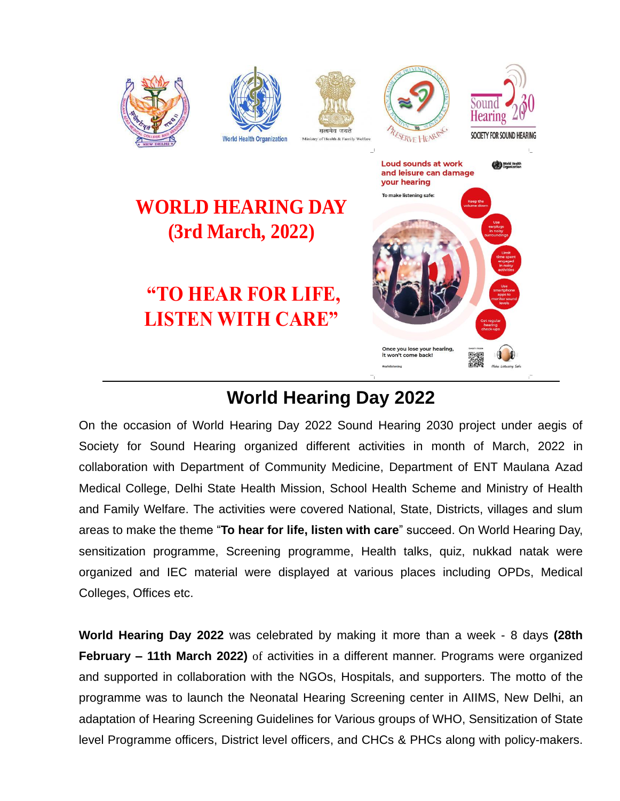

## **World Hearing Day 2022**

On the occasion of World Hearing Day 2022 Sound Hearing 2030 project under aegis of Society for Sound Hearing organized different activities in month of March, 2022 in collaboration with Department of Community Medicine, Department of ENT Maulana Azad Medical College, Delhi State Health Mission, School Health Scheme and Ministry of Health and Family Welfare. The activities were covered National, State, Districts, villages and slum areas to make the theme "**To hear for life, listen with care**" succeed. On World Hearing Day, sensitization programme, Screening programme, Health talks, quiz, nukkad natak were organized and IEC material were displayed at various places including OPDs, Medical Colleges, Offices etc.

**World Hearing Day 2022** was celebrated by making it more than a week - 8 days **(28th February – 11th March 2022)** of activities in a different manner. Programs were organized and supported in collaboration with the NGOs, Hospitals, and supporters. The motto of the programme was to launch the Neonatal Hearing Screening center in AIIMS, New Delhi, an adaptation of Hearing Screening Guidelines for Various groups of WHO, Sensitization of State level Programme officers, District level officers, and CHCs & PHCs along with policy-makers.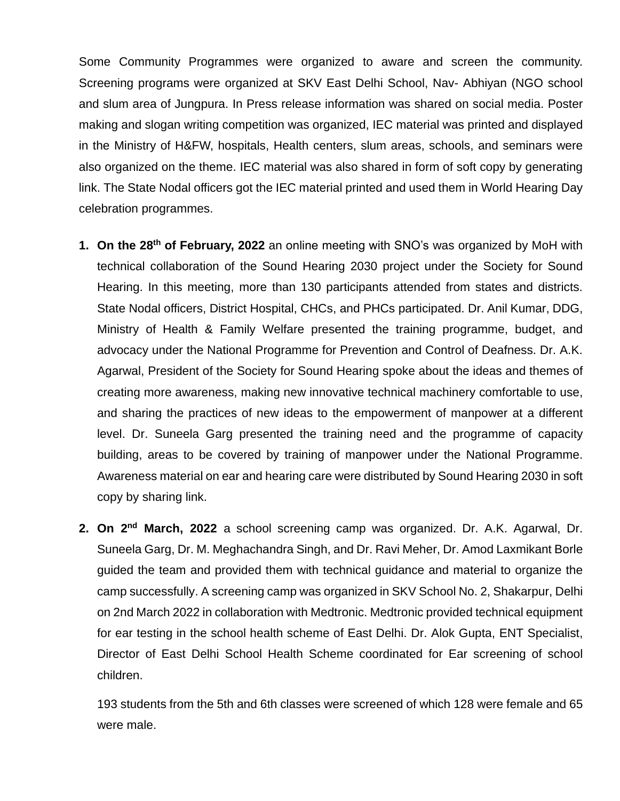Some Community Programmes were organized to aware and screen the community. Screening programs were organized at SKV East Delhi School, Nav- Abhiyan (NGO school and slum area of Jungpura. In Press release information was shared on social media. Poster making and slogan writing competition was organized, IEC material was printed and displayed in the Ministry of H&FW, hospitals, Health centers, slum areas, schools, and seminars were also organized on the theme. IEC material was also shared in form of soft copy by generating link. The State Nodal officers got the IEC material printed and used them in World Hearing Day celebration programmes.

- **1. On the 28th of February, 2022** an online meeting with SNO's was organized by MoH with technical collaboration of the Sound Hearing 2030 project under the Society for Sound Hearing. In this meeting, more than 130 participants attended from states and districts. State Nodal officers, District Hospital, CHCs, and PHCs participated. Dr. Anil Kumar, DDG, Ministry of Health & Family Welfare presented the training programme, budget, and advocacy under the National Programme for Prevention and Control of Deafness. Dr. A.K. Agarwal, President of the Society for Sound Hearing spoke about the ideas and themes of creating more awareness, making new innovative technical machinery comfortable to use, and sharing the practices of new ideas to the empowerment of manpower at a different level. Dr. Suneela Garg presented the training need and the programme of capacity building, areas to be covered by training of manpower under the National Programme. Awareness material on ear and hearing care were distributed by Sound Hearing 2030 in soft copy by sharing link.
- **2. On 2nd March, 2022** a school screening camp was organized. Dr. A.K. Agarwal, Dr. Suneela Garg, Dr. M. Meghachandra Singh, and Dr. Ravi Meher, Dr. Amod Laxmikant Borle guided the team and provided them with technical guidance and material to organize the camp successfully. A screening camp was organized in SKV School No. 2, Shakarpur, Delhi on 2nd March 2022 in collaboration with Medtronic. Medtronic provided technical equipment for ear testing in the school health scheme of East Delhi. Dr. Alok Gupta, ENT Specialist, Director of East Delhi School Health Scheme coordinated for Ear screening of school children.

193 students from the 5th and 6th classes were screened of which 128 were female and 65 were male.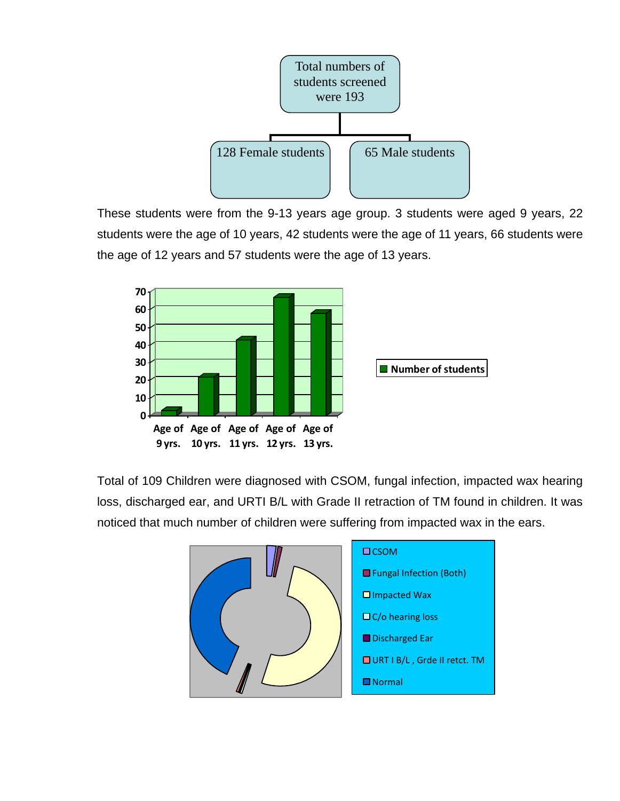

These students were from the 9-13 years age group. 3 students were aged 9 years, 22 students were the age of 10 years, 42 students were the age of 11 years, 66 students were the age of 12 years and 57 students were the age of 13 years.



Total of 109 Children were diagnosed with CSOM, fungal infection, impacted wax hearing loss, discharged ear, and URTI B/L with Grade II retraction of TM found in children. It was noticed that much number of children were suffering from impacted wax in the ears.

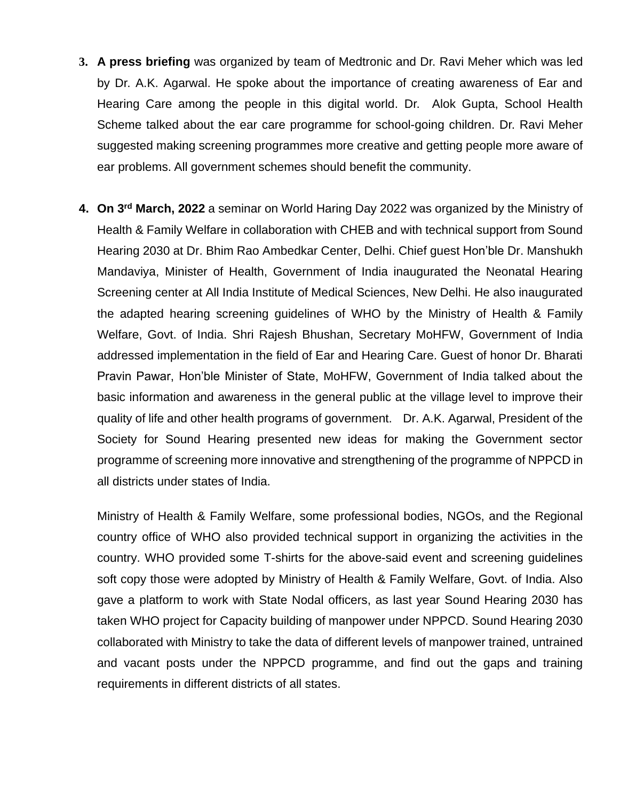- **3. A press briefing** was organized by team of Medtronic and Dr. Ravi Meher which was led by Dr. A.K. Agarwal. He spoke about the importance of creating awareness of Ear and Hearing Care among the people in this digital world. Dr. Alok Gupta, School Health Scheme talked about the ear care programme for school-going children. Dr. Ravi Meher suggested making screening programmes more creative and getting people more aware of ear problems. All government schemes should benefit the community.
- **4. On 3 rd March, 2022** a seminar on World Haring Day 2022 was organized by the Ministry of Health & Family Welfare in collaboration with CHEB and with technical support from Sound Hearing 2030 at Dr. Bhim Rao Ambedkar Center, Delhi. Chief guest Hon'ble Dr. Manshukh Mandaviya, Minister of Health, Government of India inaugurated the Neonatal Hearing Screening center at All India Institute of Medical Sciences, New Delhi. He also inaugurated the adapted hearing screening guidelines of WHO by the Ministry of Health & Family Welfare, Govt. of India. Shri Rajesh Bhushan, Secretary MoHFW, Government of India addressed implementation in the field of Ear and Hearing Care. Guest of honor Dr. Bharati Pravin Pawar, Hon'ble Minister of State, MoHFW, Government of India talked about the basic information and awareness in the general public at the village level to improve their quality of life and other health programs of government. Dr. A.K. Agarwal, President of the Society for Sound Hearing presented new ideas for making the Government sector programme of screening more innovative and strengthening of the programme of NPPCD in all districts under states of India.

Ministry of Health & Family Welfare, some professional bodies, NGOs, and the Regional country office of WHO also provided technical support in organizing the activities in the country. WHO provided some T-shirts for the above-said event and screening guidelines soft copy those were adopted by Ministry of Health & Family Welfare, Govt. of India. Also gave a platform to work with State Nodal officers, as last year Sound Hearing 2030 has taken WHO project for Capacity building of manpower under NPPCD. Sound Hearing 2030 collaborated with Ministry to take the data of different levels of manpower trained, untrained and vacant posts under the NPPCD programme, and find out the gaps and training requirements in different districts of all states.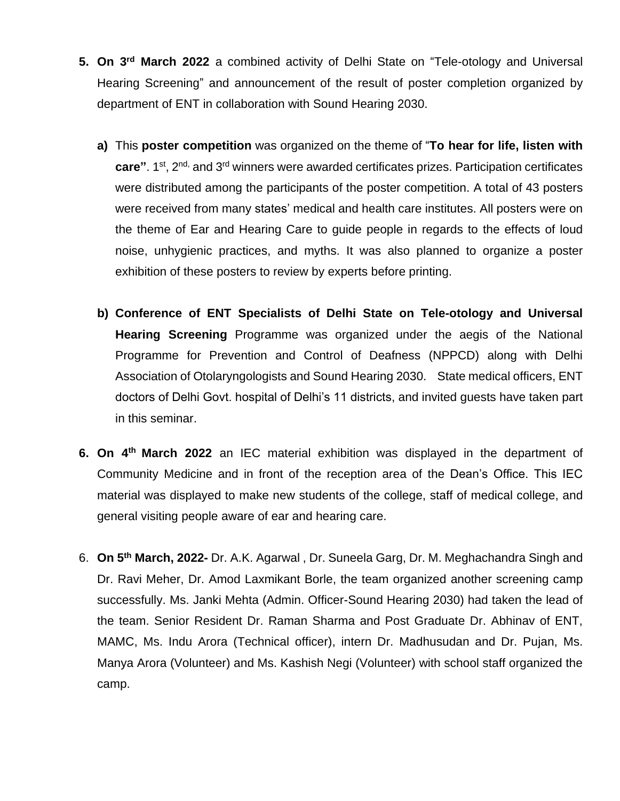- **5. On 3rd March 2022** a combined activity of Delhi State on "Tele-otology and Universal Hearing Screening" and announcement of the result of poster completion organized by department of ENT in collaboration with Sound Hearing 2030.
	- **a)** This **poster competition** was organized on the theme of "**To hear for life, listen with care"**. 1st, 2nd, and 3rd winners were awarded certificates prizes. Participation certificates were distributed among the participants of the poster competition. A total of 43 posters were received from many states' medical and health care institutes. All posters were on the theme of Ear and Hearing Care to guide people in regards to the effects of loud noise, unhygienic practices, and myths. It was also planned to organize a poster exhibition of these posters to review by experts before printing.
	- **b) Conference of ENT Specialists of Delhi State on Tele-otology and Universal Hearing Screening** Programme was organized under the aegis of the National Programme for Prevention and Control of Deafness (NPPCD) along with Delhi Association of Otolaryngologists and Sound Hearing 2030. State medical officers, ENT doctors of Delhi Govt. hospital of Delhi's 11 districts, and invited guests have taken part in this seminar.
- **6. On 4th March 2022** an IEC material exhibition was displayed in the department of Community Medicine and in front of the reception area of the Dean's Office. This IEC material was displayed to make new students of the college, staff of medical college, and general visiting people aware of ear and hearing care.
- 6. **On 5th March, 2022-** Dr. A.K. Agarwal , Dr. Suneela Garg, Dr. M. Meghachandra Singh and Dr. Ravi Meher, Dr. Amod Laxmikant Borle, the team organized another screening camp successfully. Ms. Janki Mehta (Admin. Officer-Sound Hearing 2030) had taken the lead of the team. Senior Resident Dr. Raman Sharma and Post Graduate Dr. Abhinav of ENT, MAMC, Ms. Indu Arora (Technical officer), intern Dr. Madhusudan and Dr. Pujan, Ms. Manya Arora (Volunteer) and Ms. Kashish Negi (Volunteer) with school staff organized the camp.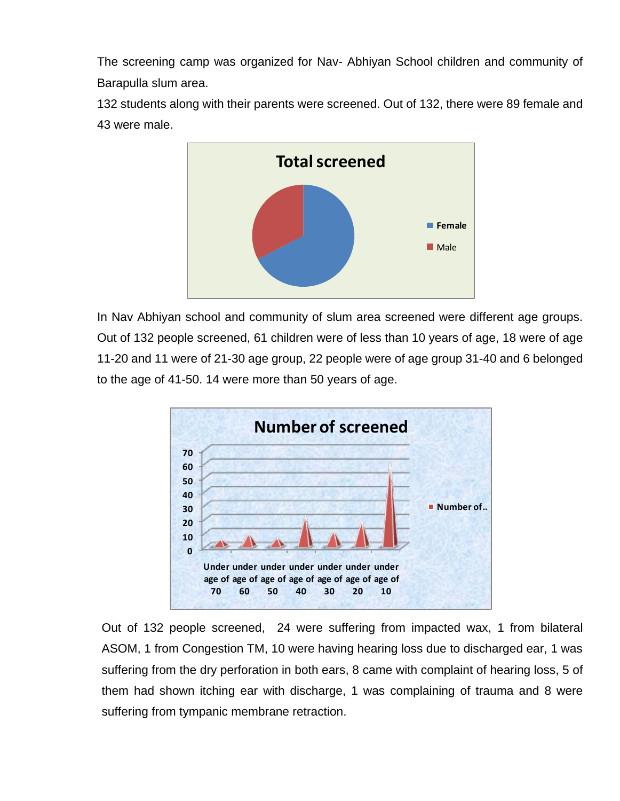The screening camp was organized for Nav- Abhiyan School children and community of Barapulla slum area.

132 students along with their parents were screened. Out of 132, there were 89 female and 43 were male.



In Nav Abhiyan school and community of slum area screened were different age groups. Out of 132 people screened, 61 children were of less than 10 years of age, 18 were of age 11-20 and 11 were of 21-30 age group, 22 people were of age group 31-40 and 6 belonged to the age of 41-50. 14 were more than 50 years of age.



Out of 132 people screened, 24 were suffering from impacted wax, 1 from bilateral ASOM, 1 from Congestion TM, 10 were having hearing loss due to discharged ear, 1 was suffering from the dry perforation in both ears, 8 came with complaint of hearing loss, 5 of them had shown itching ear with discharge, 1 was complaining of trauma and 8 were suffering from tympanic membrane retraction.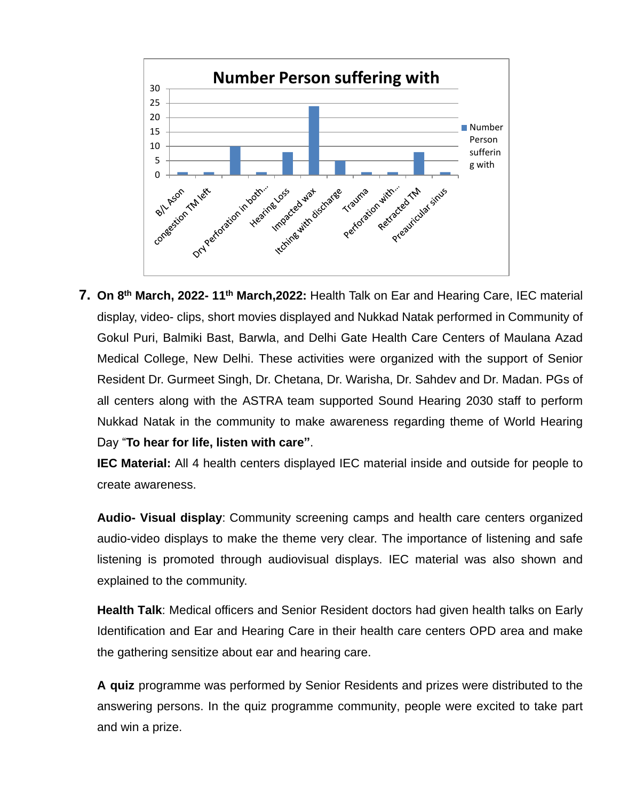

**7. On 8 th March, 2022- 11th March,2022:** Health Talk on Ear and Hearing Care, IEC material display, video- clips, short movies displayed and Nukkad Natak performed in Community of Gokul Puri, Balmiki Bast, Barwla, and Delhi Gate Health Care Centers of Maulana Azad Medical College, New Delhi. These activities were organized with the support of Senior Resident Dr. Gurmeet Singh, Dr. Chetana, Dr. Warisha, Dr. Sahdev and Dr. Madan. PGs of all centers along with the ASTRA team supported Sound Hearing 2030 staff to perform Nukkad Natak in the community to make awareness regarding theme of World Hearing Day "**To hear for life, listen with care"**.

**IEC Material:** All 4 health centers displayed IEC material inside and outside for people to create awareness.

**Audio- Visual display**: Community screening camps and health care centers organized audio-video displays to make the theme very clear. The importance of listening and safe listening is promoted through audiovisual displays. IEC material was also shown and explained to the community.

**Health Talk**: Medical officers and Senior Resident doctors had given health talks on Early Identification and Ear and Hearing Care in their health care centers OPD area and make the gathering sensitize about ear and hearing care.

**A quiz** programme was performed by Senior Residents and prizes were distributed to the answering persons. In the quiz programme community, people were excited to take part and win a prize.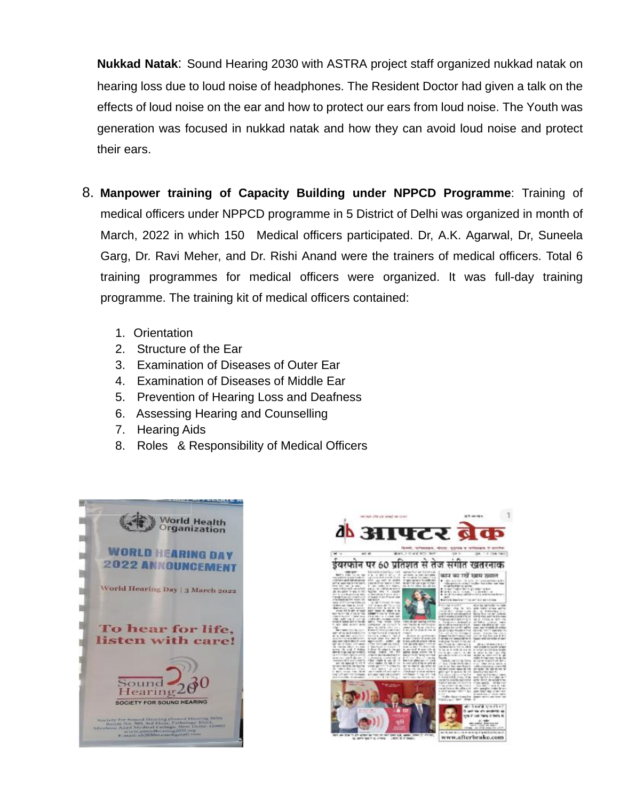**Nukkad Natak**: Sound Hearing 2030 with ASTRA project staff organized nukkad natak on hearing loss due to loud noise of headphones. The Resident Doctor had given a talk on the effects of loud noise on the ear and how to protect our ears from loud noise. The Youth was generation was focused in nukkad natak and how they can avoid loud noise and protect their ears.

- 8. **Manpower training of Capacity Building under NPPCD Programme**: Training of medical officers under NPPCD programme in 5 District of Delhi was organized in month of March, 2022 in which 150 Medical officers participated. Dr, A.K. Agarwal, Dr, Suneela Garg, Dr. Ravi Meher, and Dr. Rishi Anand were the trainers of medical officers. Total 6 training programmes for medical officers were organized. It was full-day training programme. The training kit of medical officers contained:
	- 1. Orientation
	- 2. Structure of the Ear
	- 3. Examination of Diseases of Outer Ear
	- 4. Examination of Diseases of Middle Ear
	- 5. Prevention of Hearing Loss and Deafness
	- 6. Assessing Hearing and Counselling
	- 7. Hearing Aids
	- 8. Roles & Responsibility of Medical Officers



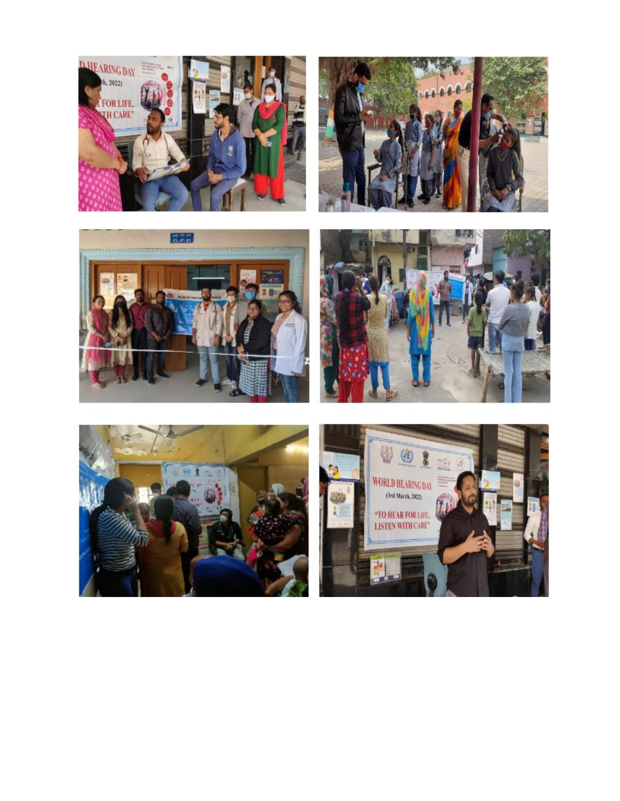







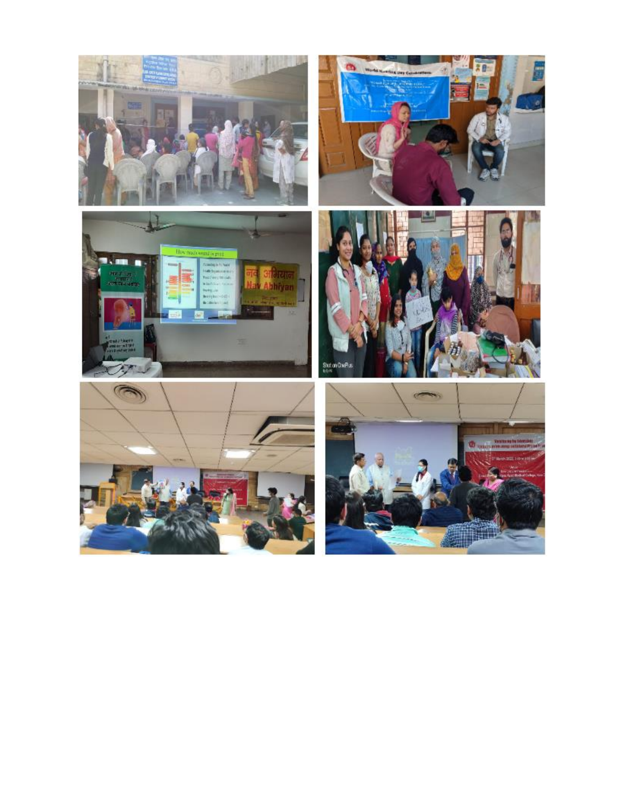